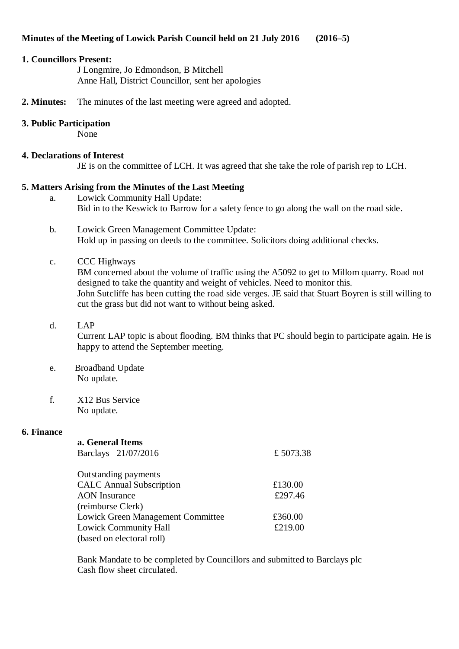# **Minutes of the Meeting of Lowick Parish Council held on 21 July 2016 (2016–5)**

#### **1. Councillors Present:**

J Longmire, Jo Edmondson, B Mitchell Anne Hall, District Councillor, sent her apologies

**2. Minutes:** The minutes of the last meeting were agreed and adopted.

# **3. Public Participation**

None

#### **4. Declarations of Interest**

JE is on the committee of LCH. It was agreed that she take the role of parish rep to LCH.

# **5. Matters Arising from the Minutes of the Last Meeting**

- a. Lowick Community Hall Update: Bid in to the Keswick to Barrow for a safety fence to go along the wall on the road side.
- b. Lowick Green Management Committee Update: Hold up in passing on deeds to the committee. Solicitors doing additional checks.

# c. CCC Highways

BM concerned about the volume of traffic using the A5092 to get to Millom quarry. Road not designed to take the quantity and weight of vehicles. Need to monitor this. John Sutcliffe has been cutting the road side verges. JE said that Stuart Boyren is still willing to cut the grass but did not want to without being asked.

d. LAP

Current LAP topic is about flooding. BM thinks that PC should begin to participate again. He is happy to attend the September meeting.

- e. Broadband Update No update.
- f. X12 Bus Service No update.

#### **6. Finance**

| a. General Items                  |          |
|-----------------------------------|----------|
| Barclays 21/07/2016               | £5073.38 |
|                                   |          |
| Outstanding payments              |          |
| <b>CALC</b> Annual Subscription   | £130.00  |
| <b>AON</b> Insurance              | £297.46  |
| (reimburse Clerk)                 |          |
| Lowick Green Management Committee | £360.00  |
| <b>Lowick Community Hall</b>      | £219.00  |
| (based on electoral roll)         |          |

Bank Mandate to be completed by Councillors and submitted to Barclays plc Cash flow sheet circulated.